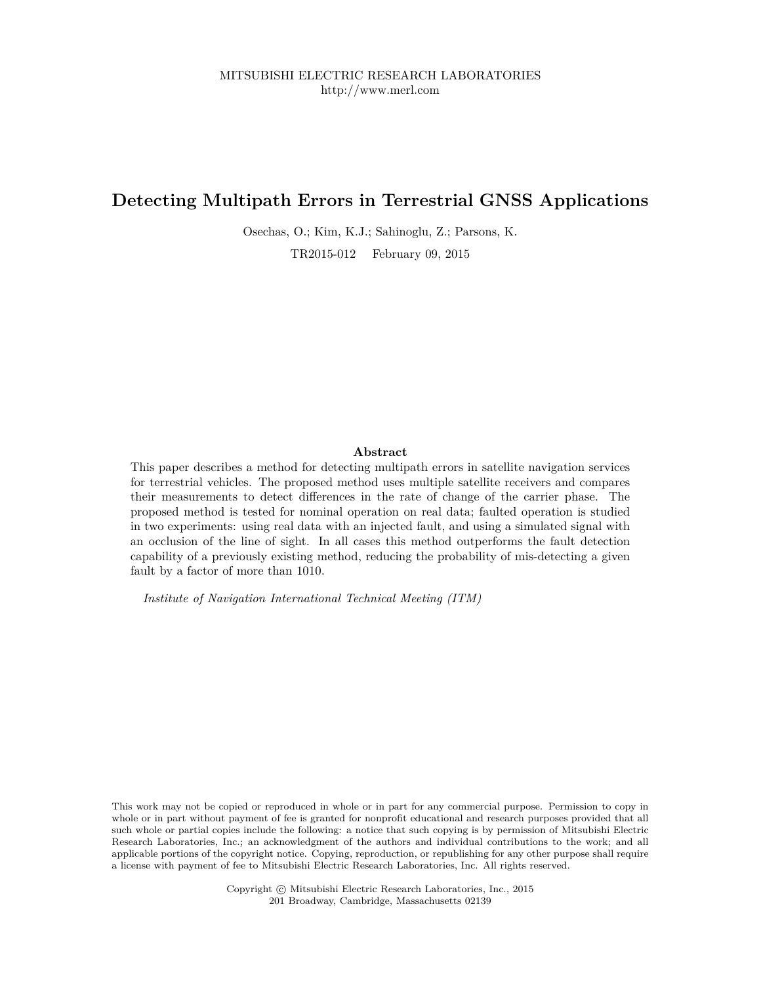# **Detecting Multipath Errors in Terrestrial GNSS Applications**

Osechas, O.; Kim, K.J.; Sahinoglu, Z.; Parsons, K.

TR2015-012 February 09, 2015

#### **Abstract**

This paper describes a method for detecting multipath errors in satellite navigation services for terrestrial vehicles. The proposed method uses multiple satellite receivers and compares their measurements to detect differences in the rate of change of the carrier phase. The proposed method is tested for nominal operation on real data; faulted operation is studied in two experiments: using real data with an injected fault, and using a simulated signal with an occlusion of the line of sight. In all cases this method outperforms the fault detection capability of a previously existing method, reducing the probability of mis-detecting a given fault by a factor of more than 1010.

*Institute of Navigation International Technical Meeting (ITM)*

This work may not be copied or reproduced in whole or in part for any commercial purpose. Permission to copy in whole or in part without payment of fee is granted for nonprofit educational and research purposes provided that all such whole or partial copies include the following: a notice that such copying is by permission of Mitsubishi Electric Research Laboratories, Inc.; an acknowledgment of the authors and individual contributions to the work; and all applicable portions of the copyright notice. Copying, reproduction, or republishing for any other purpose shall require a license with payment of fee to Mitsubishi Electric Research Laboratories, Inc. All rights reserved.

> Copyright © Mitsubishi Electric Research Laboratories, Inc., 2015 201 Broadway, Cambridge, Massachusetts 02139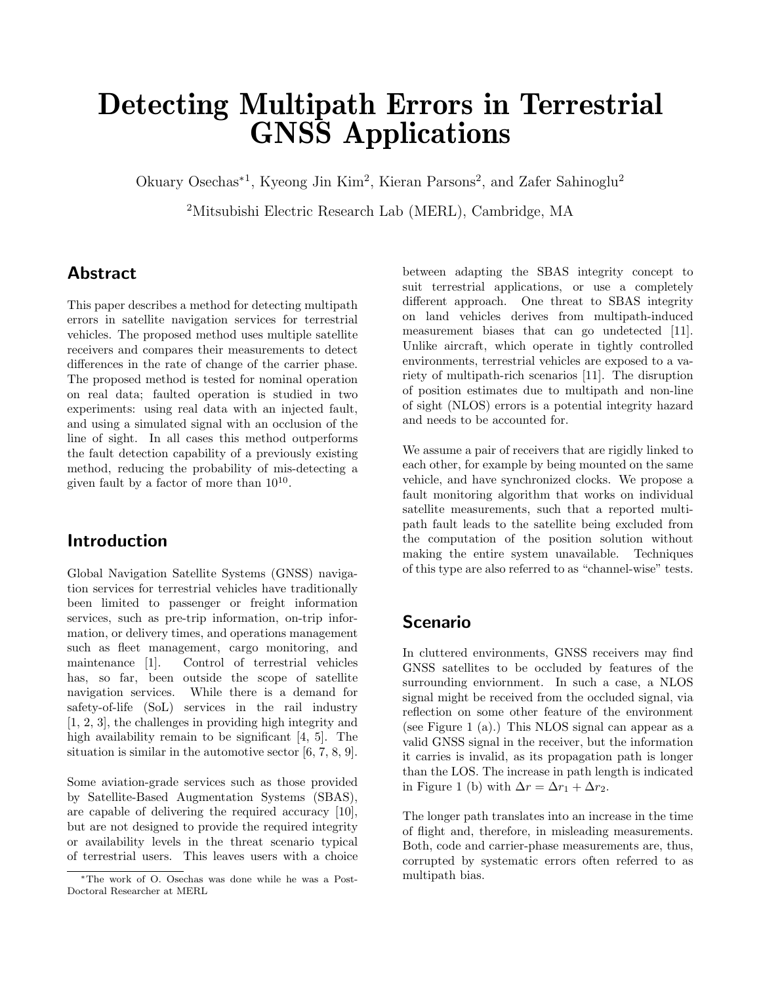# Detecting Multipath Errors in Terrestrial GNSS Applications

Okuary Osechas<sup>∗</sup><sup>1</sup> , Kyeong Jin Kim<sup>2</sup> , Kieran Parsons<sup>2</sup> , and Zafer Sahinoglu<sup>2</sup>

<sup>2</sup>Mitsubishi Electric Research Lab (MERL), Cambridge, MA

# Abstract

This paper describes a method for detecting multipath errors in satellite navigation services for terrestrial vehicles. The proposed method uses multiple satellite receivers and compares their measurements to detect differences in the rate of change of the carrier phase. The proposed method is tested for nominal operation on real data; faulted operation is studied in two experiments: using real data with an injected fault, and using a simulated signal with an occlusion of the line of sight. In all cases this method outperforms the fault detection capability of a previously existing method, reducing the probability of mis-detecting a given fault by a factor of more than  $10^{10}$ .

# Introduction

Global Navigation Satellite Systems (GNSS) navigation services for terrestrial vehicles have traditionally been limited to passenger or freight information services, such as pre-trip information, on-trip information, or delivery times, and operations management such as fleet management, cargo monitoring, and maintenance [1]. Control of terrestrial vehicles has, so far, been outside the scope of satellite navigation services. While there is a demand for safety-of-life (SoL) services in the rail industry [1, 2, 3], the challenges in providing high integrity and high availability remain to be significant [4, 5]. The situation is similar in the automotive sector [6, 7, 8, 9].

Some aviation-grade services such as those provided by Satellite-Based Augmentation Systems (SBAS), are capable of delivering the required accuracy [10], but are not designed to provide the required integrity or availability levels in the threat scenario typical of terrestrial users. This leaves users with a choice between adapting the SBAS integrity concept to suit terrestrial applications, or use a completely different approach. One threat to SBAS integrity on land vehicles derives from multipath-induced measurement biases that can go undetected [11]. Unlike aircraft, which operate in tightly controlled environments, terrestrial vehicles are exposed to a variety of multipath-rich scenarios [11]. The disruption of position estimates due to multipath and non-line of sight (NLOS) errors is a potential integrity hazard and needs to be accounted for.

We assume a pair of receivers that are rigidly linked to each other, for example by being mounted on the same vehicle, and have synchronized clocks. We propose a fault monitoring algorithm that works on individual satellite measurements, such that a reported multipath fault leads to the satellite being excluded from the computation of the position solution without making the entire system unavailable. Techniques of this type are also referred to as "channel-wise" tests.

# Scenario

In cluttered environments, GNSS receivers may find GNSS satellites to be occluded by features of the surrounding enviornment. In such a case, a NLOS signal might be received from the occluded signal, via reflection on some other feature of the environment (see Figure 1 (a).) This NLOS signal can appear as a valid GNSS signal in the receiver, but the information it carries is invalid, as its propagation path is longer than the LOS. The increase in path length is indicated in Figure 1 (b) with  $\Delta r = \Delta r_1 + \Delta r_2$ .

The longer path translates into an increase in the time of flight and, therefore, in misleading measurements. Both, code and carrier-phase measurements are, thus, corrupted by systematic errors often referred to as multipath bias.

<sup>∗</sup>The work of O. Osechas was done while he was a Post-Doctoral Researcher at MERL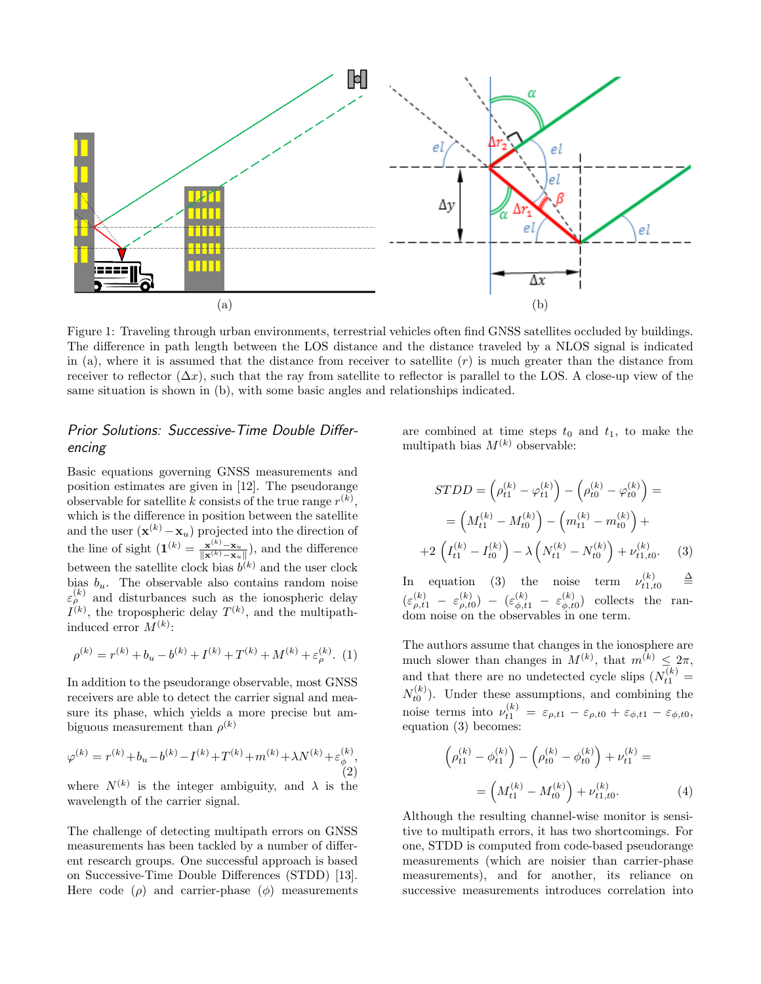

Figure 1: Traveling through urban environments, terrestrial vehicles often find GNSS satellites occluded by buildings. The difference in path length between the LOS distance and the distance traveled by a NLOS signal is indicated in (a), where it is assumed that the distance from receiver to satellite  $(r)$  is much greater than the distance from receiver to reflector  $(\Delta x)$ , such that the ray from satellite to reflector is parallel to the LOS. A close-up view of the same situation is shown in (b), with some basic angles and relationships indicated.

## Prior Solutions: Successive-Time Double Differencing

Basic equations governing GNSS measurements and position estimates are given in [12]. The pseudorange observable for satellite k consists of the true range  $r^{(k)}$ , which is the difference in position between the satellite and the user  $(\mathbf{x}^{(k)} - \mathbf{x}_u)$  projected into the direction of the line of sight  $(\mathbf{1}^{(k)} = \frac{\mathbf{x}^{(k)} - \mathbf{x}_u}{\|\mathbf{x}^{(k)} - \mathbf{x}_u\|}),$  and the difference between the satellite clock bias  $b^{(k)}$  and the user clock bias  $b_u$ . The observable also contains random noise  $\varepsilon_{\rho}^{(k)}$  and disturbances such as the ionospheric delay  $I^{(k)}$ , the tropospheric delay  $T^{(k)}$ , and the multipathinduced error  $M^{(k)}$ :

$$
\rho^{(k)}=r^{(k)}+b_u-b^{(k)}+I^{(k)}+T^{(k)}+M^{(k)}+\varepsilon_\rho^{(k)}.\ \ (1)
$$

In addition to the pseudorange observable, most GNSS receivers are able to detect the carrier signal and measure its phase, which yields a more precise but ambiguous measurement than  $\rho^{(k)}$ 

$$
\varphi^{(k)} = r^{(k)} + b_u - b^{(k)} - I^{(k)} + T^{(k)} + m^{(k)} + \lambda N^{(k)} + \varepsilon_{\phi}^{(k)},
$$
\n(2)

where  $N^{(k)}$  is the integer ambiguity, and  $\lambda$  is the wavelength of the carrier signal.

The challenge of detecting multipath errors on GNSS measurements has been tackled by a number of different research groups. One successful approach is based on Successive-Time Double Differences (STDD) [13]. Here code  $(\rho)$  and carrier-phase  $(\phi)$  measurements

are combined at time steps  $t_0$  and  $t_1$ , to make the multipath bias  $M^{(k)}$  observable:

$$
STDD = \left(\rho_{t1}^{(k)} - \varphi_{t1}^{(k)}\right) - \left(\rho_{t0}^{(k)} - \varphi_{t0}^{(k)}\right) =
$$
\n
$$
= \left(M_{t1}^{(k)} - M_{t0}^{(k)}\right) - \left(m_{t1}^{(k)} - m_{t0}^{(k)}\right) +
$$
\n
$$
+ 2\left(I_{t1}^{(k)} - I_{t0}^{(k)}\right) - \lambda\left(N_{t1}^{(k)} - N_{t0}^{(k)}\right) + \nu_{t1,t0}^{(k)}.
$$
\n(3)

In equation (3) the noise term  $\nu_{t1,t0}^{(k)} =$  $(\varepsilon^{(k)}_{\rho,t1} - \varepsilon^{(k)}_{\rho,t0}) - (\varepsilon^{(k)}_{\phi,t1} - \varepsilon^{(k)}_{\phi,t}$  $\phi_{t0}^{(\kappa)}$  collects the random noise on the observables in one term.

The authors assume that changes in the ionosphere are much slower than changes in  $M^{(k)}$ , that  $m^{(k)} \leq 2\pi$ , and that there are no undetected cycle slips  $(N_{t1}^{(k)} =$  $N_{t0}^{(k)}$ ). Under these assumptions, and combining the noise terms into  $\nu_{t1}^{(k)} = \varepsilon_{\rho,t1} - \varepsilon_{\rho,t0} + \varepsilon_{\phi,t1} - \varepsilon_{\phi,t0}$ , equation (3) becomes:

$$
\left(\rho_{t1}^{(k)} - \phi_{t1}^{(k)}\right) - \left(\rho_{t0}^{(k)} - \phi_{t0}^{(k)}\right) + \nu_{t1}^{(k)} =
$$
\n
$$
= \left(M_{t1}^{(k)} - M_{t0}^{(k)}\right) + \nu_{t1,t0}^{(k)}.
$$
\n(4)

Although the resulting channel-wise monitor is sensitive to multipath errors, it has two shortcomings. For one, STDD is computed from code-based pseudorange measurements (which are noisier than carrier-phase measurements), and for another, its reliance on successive measurements introduces correlation into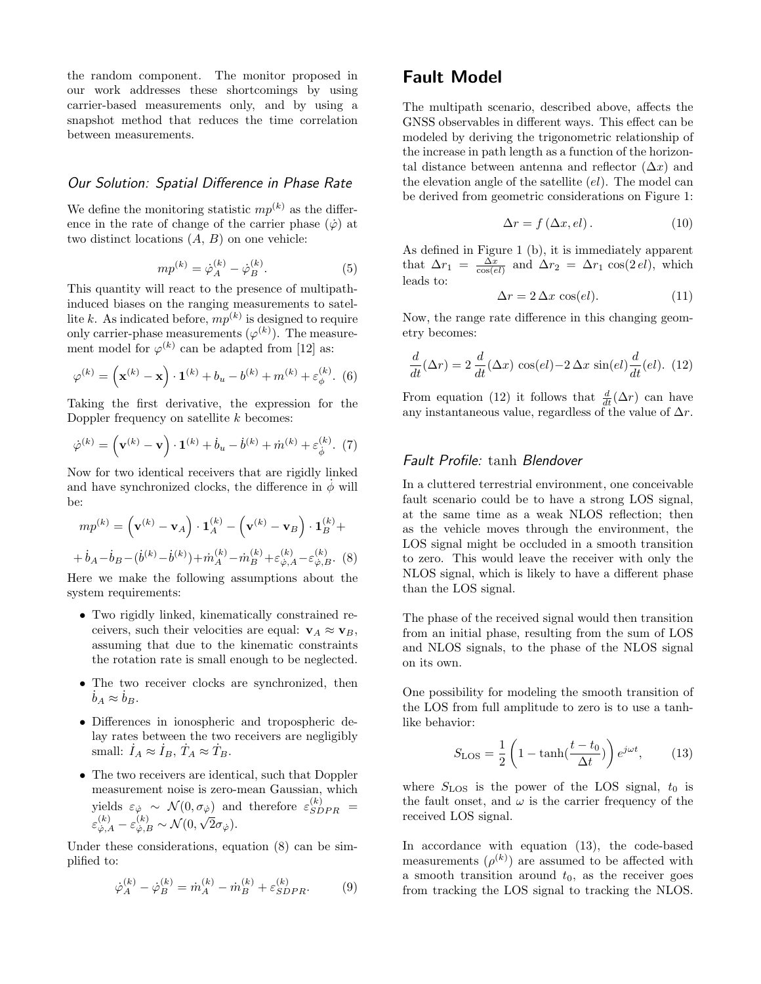the random component. The monitor proposed in our work addresses these shortcomings by using carrier-based measurements only, and by using a snapshot method that reduces the time correlation between measurements.

### Our Solution: Spatial Difference in Phase Rate

We define the monitoring statistic  $mp^{(k)}$  as the difference in the rate of change of the carrier phase  $(\dot{\varphi})$  at two distinct locations  $(A, B)$  on one vehicle:

$$
mp^{(k)} = \dot{\varphi}_A^{(k)} - \dot{\varphi}_B^{(k)}.
$$
 (5)

This quantity will react to the presence of multipathinduced biases on the ranging measurements to satellite k. As indicated before,  $mp^{(k)}$  is designed to require only carrier-phase measurements  $(\varphi^{(k)})$ . The measurement model for  $\varphi^{(k)}$  can be adapted from [12] as:

$$
\varphi^{(k)} = \left(\mathbf{x}^{(k)} - \mathbf{x}\right) \cdot \mathbf{1}^{(k)} + b_u - b^{(k)} + m^{(k)} + \varepsilon_{\phi}^{(k)}.
$$
 (6)

Taking the first derivative, the expression for the Doppler frequency on satellite  $k$  becomes:

$$
\dot{\varphi}^{(k)} = (\mathbf{v}^{(k)} - \mathbf{v}) \cdot \mathbf{1}^{(k)} + \dot{b}_u - \dot{b}^{(k)} + \dot{m}^{(k)} + \varepsilon_{\dot{\phi}}^{(k)}.
$$
 (7)

Now for two identical receivers that are rigidly linked and have synchronized clocks, the difference in  $\dot{\phi}$  will be:

$$
mp^{(k)} = (\mathbf{v}^{(k)} - \mathbf{v}_A) \cdot \mathbf{1}_A^{(k)} - (\mathbf{v}^{(k)} - \mathbf{v}_B) \cdot \mathbf{1}_B^{(k)} + + \dot{b}_A - \dot{b}_B - (\dot{b}^{(k)} - \dot{b}^{(k)}) + \dot{m}_A^{(k)} - \dot{m}_B^{(k)} + \varepsilon_{\varphi, A}^{(k)} - \varepsilon_{\varphi, B}^{(k)}.
$$
 (8)

Here we make the following assumptions about the system requirements:

- Two rigidly linked, kinematically constrained receivers, such their velocities are equal:  $\mathbf{v}_A \approx \mathbf{v}_B$ , assuming that due to the kinematic constraints the rotation rate is small enough to be neglected.
- The two receiver clocks are synchronized, then  $b_A \approx b_B$ .
- Differences in ionospheric and tropospheric delay rates between the two receivers are negligibly small:  $I_A \approx I_B$ ,  $T_A \approx T_B$ .
- The two receivers are identical, such that Doppler measurement noise is zero-mean Gaussian, which yields  $\varepsilon_{\dot{\varphi}} \sim \mathcal{N}(0, \sigma_{\dot{\varphi}})$  and therefore  $\varepsilon_{SDPR}^{(k)}$  =  $\varepsilon^{(k)}_{\dot{\varphi},A} - \varepsilon^{(k)}_{\dot{\varphi},B} \sim \mathcal{N}(0,$ ′ φ<br>′  $2\sigma_{\dot{\varphi}}).$

Under these considerations, equation (8) can be simplified to:

$$
\dot{\varphi}_A^{(k)} - \dot{\varphi}_B^{(k)} = \dot{m}_A^{(k)} - \dot{m}_B^{(k)} + \varepsilon_{SDPR}^{(k)}.
$$
 (9)

## Fault Model

The multipath scenario, described above, affects the GNSS observables in different ways. This effect can be modeled by deriving the trigonometric relationship of the increase in path length as a function of the horizontal distance between antenna and reflector  $(\Delta x)$  and the elevation angle of the satellite  $\left( el \right)$ . The model can be derived from geometric considerations on Figure 1:

$$
\Delta r = f\left(\Delta x, el\right). \tag{10}
$$

As defined in Figure 1 (b), it is immediately apparent that  $\Delta r_1 = \frac{\Delta x}{\cos(\epsilon l)}$  and  $\Delta r_2 = \Delta r_1 \cos(2 \epsilon l)$ , which leads to:

$$
\Delta r = 2 \, \Delta x \, \cos(\text{el}).\tag{11}
$$

Now, the range rate difference in this changing geometry becomes:

$$
\frac{d}{dt}(\Delta r) = 2 \frac{d}{dt}(\Delta x) \cos(el) - 2 \Delta x \sin(el) \frac{d}{dt}(el). (12)
$$

From equation (12) it follows that  $\frac{d}{dt}(\Delta r)$  can have any instantaneous value, regardless of the value of  $\Delta r$ .

## Fault Profile: tanh Blendover

In a cluttered terrestrial environment, one conceivable fault scenario could be to have a strong LOS signal, at the same time as a weak NLOS reflection; then as the vehicle moves through the environment, the LOS signal might be occluded in a smooth transition to zero. This would leave the receiver with only the NLOS signal, which is likely to have a different phase than the LOS signal.

The phase of the received signal would then transition from an initial phase, resulting from the sum of LOS and NLOS signals, to the phase of the NLOS signal on its own.

One possibility for modeling the smooth transition of the LOS from full amplitude to zero is to use a tanhlike behavior:

$$
S_{\text{LOS}} = \frac{1}{2} \left( 1 - \tanh(\frac{t - t_0}{\Delta t}) \right) e^{j\omega t}, \quad (13)
$$

where  $S_{\text{LOS}}$  is the power of the LOS signal,  $t_0$  is the fault onset, and  $\omega$  is the carrier frequency of the received LOS signal.

In accordance with equation (13), the code-based measurements  $(\rho^{(k)})$  are assumed to be affected with a smooth transition around  $t_0$ , as the receiver goes from tracking the LOS signal to tracking the NLOS.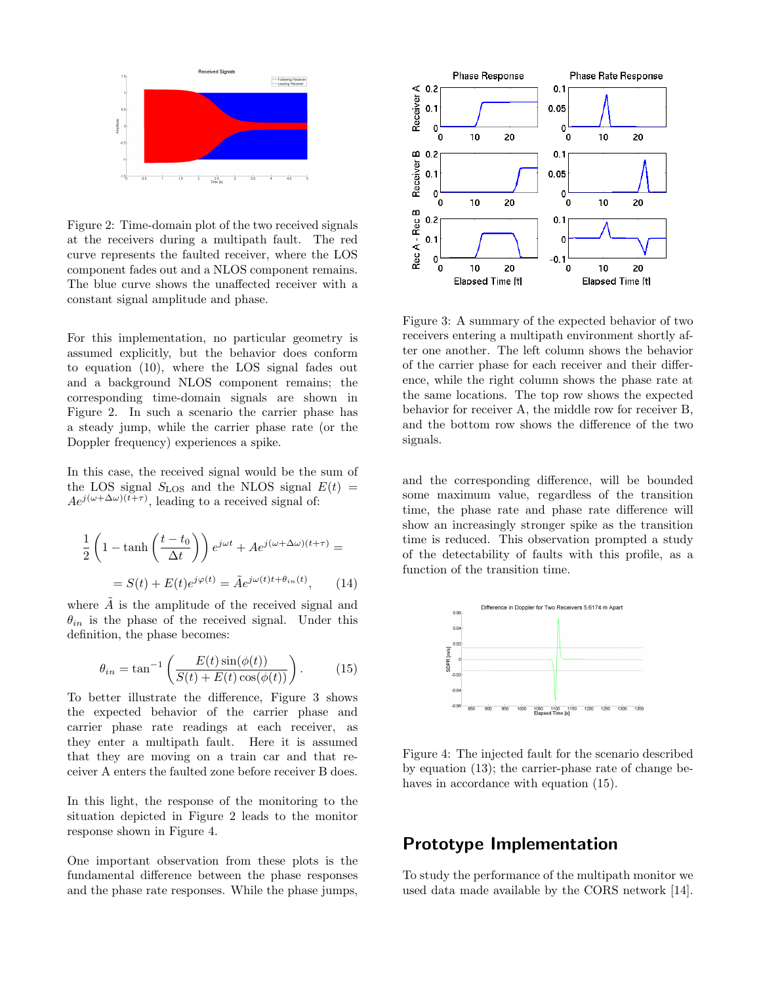

Figure 2: Time-domain plot of the two received signals at the receivers during a multipath fault. The red curve represents the faulted receiver, where the LOS component fades out and a NLOS component remains. The blue curve shows the unaffected receiver with a constant signal amplitude and phase.

For this implementation, no particular geometry is assumed explicitly, but the behavior does conform to equation (10), where the LOS signal fades out and a background NLOS component remains; the corresponding time-domain signals are shown in Figure 2. In such a scenario the carrier phase has a steady jump, while the carrier phase rate (or the Doppler frequency) experiences a spike.

In this case, the received signal would be the sum of the LOS signal  $S_{\text{LOS}}$  and the NLOS signal  $E(t)$  =  $Ae^{j(\omega+\Delta\omega)(t+\tau)}$ , leading to a received signal of:

$$
\frac{1}{2}\left(1-\tanh\left(\frac{t-t_0}{\Delta t}\right)\right)e^{j\omega t} + Ae^{j(\omega+\Delta\omega)(t+\tau)} =
$$

$$
= S(t) + E(t)e^{j\varphi(t)} = \tilde{A}e^{j\omega(t)t + \theta_{in}(t)}, \qquad (14)
$$

where  $\tilde{A}$  is the amplitude of the received signal and  $\theta_{in}$  is the phase of the received signal. Under this definition, the phase becomes:

$$
\theta_{in} = \tan^{-1}\left(\frac{E(t)\sin(\phi(t))}{S(t) + E(t)\cos(\phi(t))}\right). \tag{15}
$$

To better illustrate the difference, Figure 3 shows the expected behavior of the carrier phase and carrier phase rate readings at each receiver, as they enter a multipath fault. Here it is assumed that they are moving on a train car and that receiver A enters the faulted zone before receiver B does.

In this light, the response of the monitoring to the situation depicted in Figure 2 leads to the monitor response shown in Figure 4.

One important observation from these plots is the fundamental difference between the phase responses and the phase rate responses. While the phase jumps,



Figure 3: A summary of the expected behavior of two receivers entering a multipath environment shortly after one another. The left column shows the behavior of the carrier phase for each receiver and their difference, while the right column shows the phase rate at the same locations. The top row shows the expected behavior for receiver A, the middle row for receiver B, and the bottom row shows the difference of the two signals.

and the corresponding difference, will be bounded some maximum value, regardless of the transition time, the phase rate and phase rate difference will show an increasingly stronger spike as the transition time is reduced. This observation prompted a study of the detectability of faults with this profile, as a function of the transition time.



Figure 4: The injected fault for the scenario described by equation (13); the carrier-phase rate of change behaves in accordance with equation (15).

## Prototype Implementation

To study the performance of the multipath monitor we used data made available by the CORS network [14].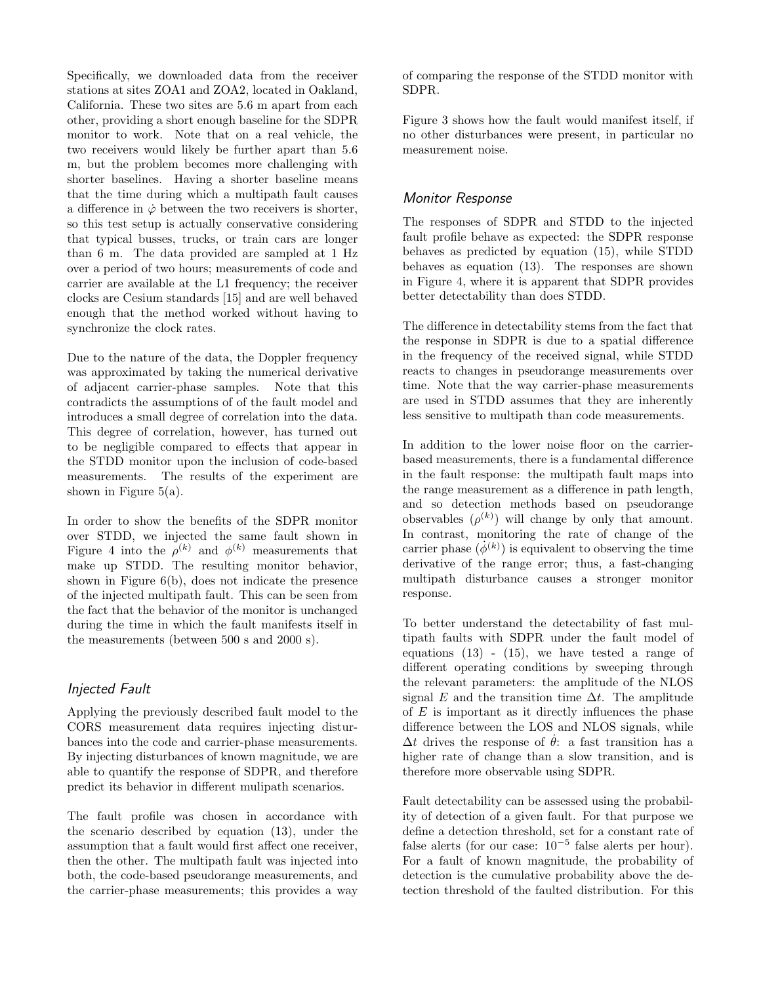Specifically, we downloaded data from the receiver stations at sites ZOA1 and ZOA2, located in Oakland, California. These two sites are 5.6 m apart from each other, providing a short enough baseline for the SDPR monitor to work. Note that on a real vehicle, the two receivers would likely be further apart than 5.6 m, but the problem becomes more challenging with shorter baselines. Having a shorter baseline means that the time during which a multipath fault causes a difference in  $\dot{\varphi}$  between the two receivers is shorter, so this test setup is actually conservative considering that typical busses, trucks, or train cars are longer than 6 m. The data provided are sampled at 1 Hz over a period of two hours; measurements of code and carrier are available at the L1 frequency; the receiver clocks are Cesium standards [15] and are well behaved enough that the method worked without having to synchronize the clock rates.

Due to the nature of the data, the Doppler frequency was approximated by taking the numerical derivative of adjacent carrier-phase samples. Note that this contradicts the assumptions of of the fault model and introduces a small degree of correlation into the data. This degree of correlation, however, has turned out to be negligible compared to effects that appear in the STDD monitor upon the inclusion of code-based measurements. The results of the experiment are shown in Figure  $5(a)$ .

In order to show the benefits of the SDPR monitor over STDD, we injected the same fault shown in Figure 4 into the  $\rho^{(k)}$  and  $\phi^{(k)}$  measurements that make up STDD. The resulting monitor behavior, shown in Figure 6(b), does not indicate the presence of the injected multipath fault. This can be seen from the fact that the behavior of the monitor is unchanged during the time in which the fault manifests itself in the measurements (between 500 s and 2000 s).

#### Injected Fault

Applying the previously described fault model to the CORS measurement data requires injecting disturbances into the code and carrier-phase measurements. By injecting disturbances of known magnitude, we are able to quantify the response of SDPR, and therefore predict its behavior in different mulipath scenarios.

The fault profile was chosen in accordance with the scenario described by equation (13), under the assumption that a fault would first affect one receiver, then the other. The multipath fault was injected into both, the code-based pseudorange measurements, and the carrier-phase measurements; this provides a way of comparing the response of the STDD monitor with SDPR.

Figure 3 shows how the fault would manifest itself, if no other disturbances were present, in particular no measurement noise.

## Monitor Response

The responses of SDPR and STDD to the injected fault profile behave as expected: the SDPR response behaves as predicted by equation (15), while STDD behaves as equation (13). The responses are shown in Figure 4, where it is apparent that SDPR provides better detectability than does STDD.

The difference in detectability stems from the fact that the response in SDPR is due to a spatial difference in the frequency of the received signal, while STDD reacts to changes in pseudorange measurements over time. Note that the way carrier-phase measurements are used in STDD assumes that they are inherently less sensitive to multipath than code measurements.

In addition to the lower noise floor on the carrierbased measurements, there is a fundamental difference in the fault response: the multipath fault maps into the range measurement as a difference in path length, and so detection methods based on pseudorange observables  $(\rho^{(k)})$  will change by only that amount. In contrast, monitoring the rate of change of the carrier phase  $(\dot{\phi}^{(k)})$  is equivalent to observing the time derivative of the range error; thus, a fast-changing multipath disturbance causes a stronger monitor response.

To better understand the detectability of fast multipath faults with SDPR under the fault model of equations  $(13)$  -  $(15)$ , we have tested a range of different operating conditions by sweeping through the relevant parameters: the amplitude of the NLOS signal E and the transition time  $\Delta t$ . The amplitude of  $E$  is important as it directly influences the phase difference between the LOS and NLOS signals, while  $\Delta t$  drives the response of  $\dot{\theta}$ : a fast transition has a higher rate of change than a slow transition, and is therefore more observable using SDPR.

Fault detectability can be assessed using the probability of detection of a given fault. For that purpose we define a detection threshold, set for a constant rate of false alerts (for our case:  $10^{-5}$  false alerts per hour). For a fault of known magnitude, the probability of detection is the cumulative probability above the detection threshold of the faulted distribution. For this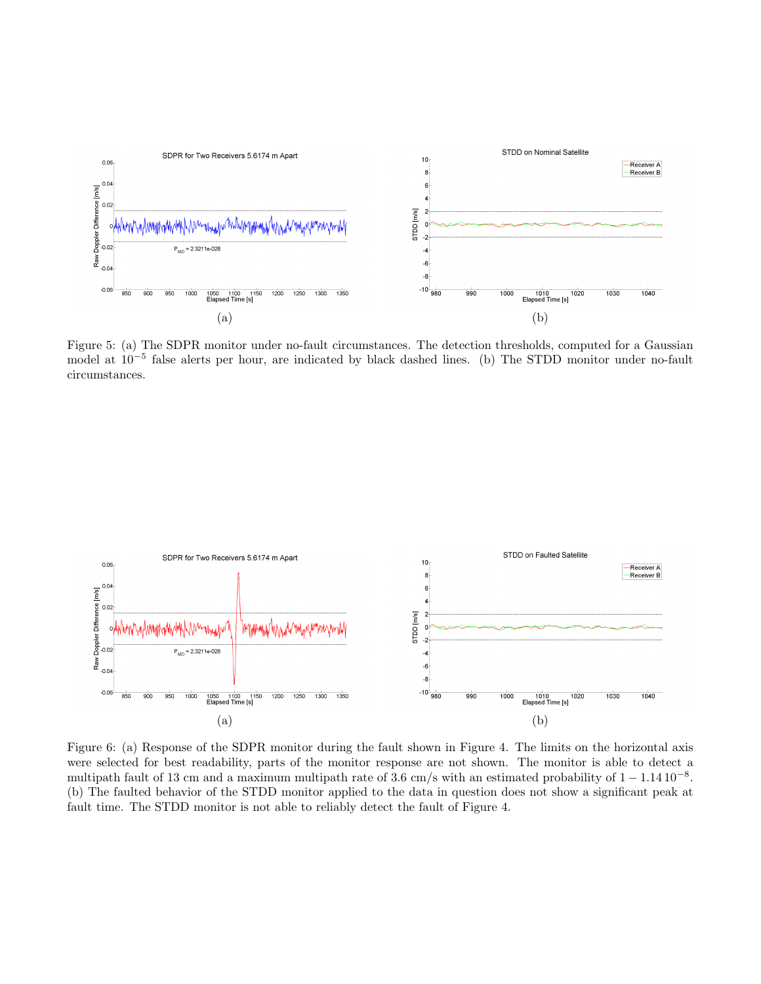

Figure 5: (a) The SDPR monitor under no-fault circumstances. The detection thresholds, computed for a Gaussian model at 10<sup>−</sup><sup>5</sup> false alerts per hour, are indicated by black dashed lines. (b) The STDD monitor under no-fault circumstances.



Figure 6: (a) Response of the SDPR monitor during the fault shown in Figure 4. The limits on the horizontal axis were selected for best readability, parts of the monitor response are not shown. The monitor is able to detect a multipath fault of 13 cm and a maximum multipath rate of 3.6 cm/s with an estimated probability of  $1 - 1.14 \, 10^{-8}$ . (b) The faulted behavior of the STDD monitor applied to the data in question does not show a significant peak at fault time. The STDD monitor is not able to reliably detect the fault of Figure 4.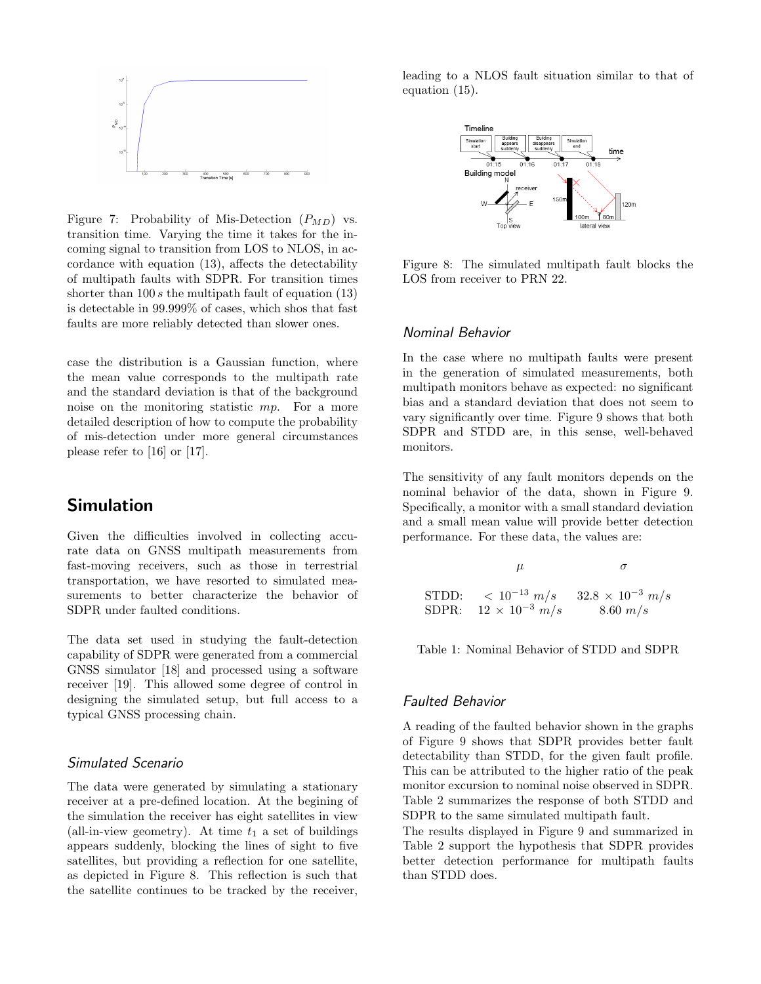

Figure 7: Probability of Mis-Detection  $(P_{MD})$  vs. transition time. Varying the time it takes for the incoming signal to transition from LOS to NLOS, in accordance with equation (13), affects the detectability of multipath faults with SDPR. For transition times shorter than  $100 s$  the multipath fault of equation  $(13)$ is detectable in 99.999% of cases, which shos that fast faults are more reliably detected than slower ones.

case the distribution is a Gaussian function, where the mean value corresponds to the multipath rate and the standard deviation is that of the background noise on the monitoring statistic mp. For a more detailed description of how to compute the probability of mis-detection under more general circumstances please refer to [16] or [17].

## Simulation

Given the difficulties involved in collecting accurate data on GNSS multipath measurements from fast-moving receivers, such as those in terrestrial transportation, we have resorted to simulated measurements to better characterize the behavior of SDPR under faulted conditions.

The data set used in studying the fault-detection capability of SDPR were generated from a commercial GNSS simulator [18] and processed using a software receiver [19]. This allowed some degree of control in designing the simulated setup, but full access to a typical GNSS processing chain.

#### Simulated Scenario

The data were generated by simulating a stationary receiver at a pre-defined location. At the begining of the simulation the receiver has eight satellites in view (all-in-view geometry). At time  $t_1$  a set of buildings appears suddenly, blocking the lines of sight to five satellites, but providing a reflection for one satellite, as depicted in Figure 8. This reflection is such that the satellite continues to be tracked by the receiver, leading to a NLOS fault situation similar to that of equation (15).



Figure 8: The simulated multipath fault blocks the LOS from receiver to PRN 22.

#### Nominal Behavior

In the case where no multipath faults were present in the generation of simulated measurements, both multipath monitors behave as expected: no significant bias and a standard deviation that does not seem to vary significantly over time. Figure 9 shows that both SDPR and STDD are, in this sense, well-behaved monitors.

The sensitivity of any fault monitors depends on the nominal behavior of the data, shown in Figure 9. Specifically, a monitor with a small standard deviation and a small mean value will provide better detection performance. For these data, the values are:

| μ                               |                                                                       |
|---------------------------------|-----------------------------------------------------------------------|
|                                 | STDD: $\langle 10^{-13} \; m/s \; 32.8 \times 10^{-3} \; m/s \rangle$ |
| SDPR: $12 \times 10^{-3}$ $m/s$ | $8.60 \; m/s$                                                         |

Table 1: Nominal Behavior of STDD and SDPR

#### Faulted Behavior

A reading of the faulted behavior shown in the graphs of Figure 9 shows that SDPR provides better fault detectability than STDD, for the given fault profile. This can be attributed to the higher ratio of the peak monitor excursion to nominal noise observed in SDPR. Table 2 summarizes the response of both STDD and SDPR to the same simulated multipath fault.

The results displayed in Figure 9 and summarized in Table 2 support the hypothesis that SDPR provides better detection performance for multipath faults than STDD does.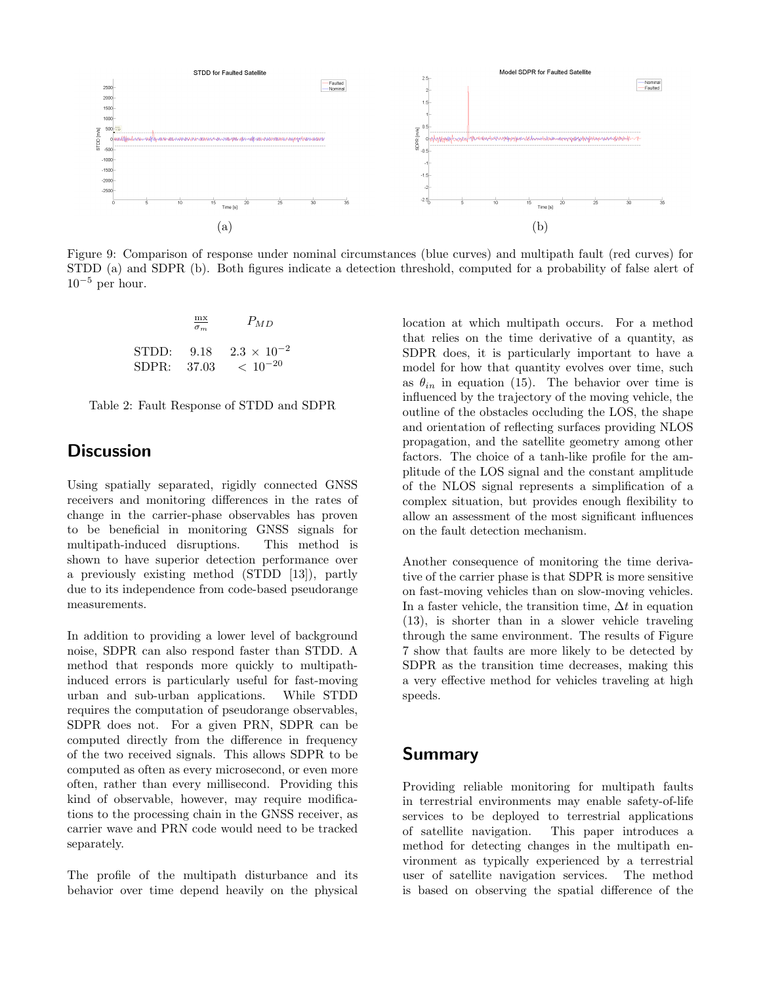

Figure 9: Comparison of response under nominal circumstances (blue curves) and multipath fault (red curves) for STDD (a) and SDPR (b). Both figures indicate a detection threshold, computed for a probability of false alert of  $10^{-5}$  per hour.

$$
\frac{\text{mx}}{\sigma_m} \qquad P_{MD}
$$
  
STDD: 9.18 2.3 × 10<sup>-2</sup>  
SDPR: 37.03 < 10<sup>-20</sup>



# **Discussion**

Using spatially separated, rigidly connected GNSS receivers and monitoring differences in the rates of change in the carrier-phase observables has proven to be beneficial in monitoring GNSS signals for multipath-induced disruptions. This method is shown to have superior detection performance over a previously existing method (STDD [13]), partly due to its independence from code-based pseudorange measurements.

In addition to providing a lower level of background noise, SDPR can also respond faster than STDD. A method that responds more quickly to multipathinduced errors is particularly useful for fast-moving urban and sub-urban applications. While STDD requires the computation of pseudorange observables, SDPR does not. For a given PRN, SDPR can be computed directly from the difference in frequency of the two received signals. This allows SDPR to be computed as often as every microsecond, or even more often, rather than every millisecond. Providing this kind of observable, however, may require modifications to the processing chain in the GNSS receiver, as carrier wave and PRN code would need to be tracked separately.

The profile of the multipath disturbance and its behavior over time depend heavily on the physical location at which multipath occurs. For a method that relies on the time derivative of a quantity, as SDPR does, it is particularly important to have a model for how that quantity evolves over time, such as  $\theta_{in}$  in equation (15). The behavior over time is influenced by the trajectory of the moving vehicle, the outline of the obstacles occluding the LOS, the shape and orientation of reflecting surfaces providing NLOS propagation, and the satellite geometry among other factors. The choice of a tanh-like profile for the amplitude of the LOS signal and the constant amplitude of the NLOS signal represents a simplification of a complex situation, but provides enough flexibility to allow an assessment of the most significant influences on the fault detection mechanism.

Another consequence of monitoring the time derivative of the carrier phase is that SDPR is more sensitive on fast-moving vehicles than on slow-moving vehicles. In a faster vehicle, the transition time,  $\Delta t$  in equation (13), is shorter than in a slower vehicle traveling through the same environment. The results of Figure 7 show that faults are more likely to be detected by SDPR as the transition time decreases, making this a very effective method for vehicles traveling at high speeds.

## Summary

Providing reliable monitoring for multipath faults in terrestrial environments may enable safety-of-life services to be deployed to terrestrial applications of satellite navigation. This paper introduces a method for detecting changes in the multipath environment as typically experienced by a terrestrial user of satellite navigation services. The method is based on observing the spatial difference of the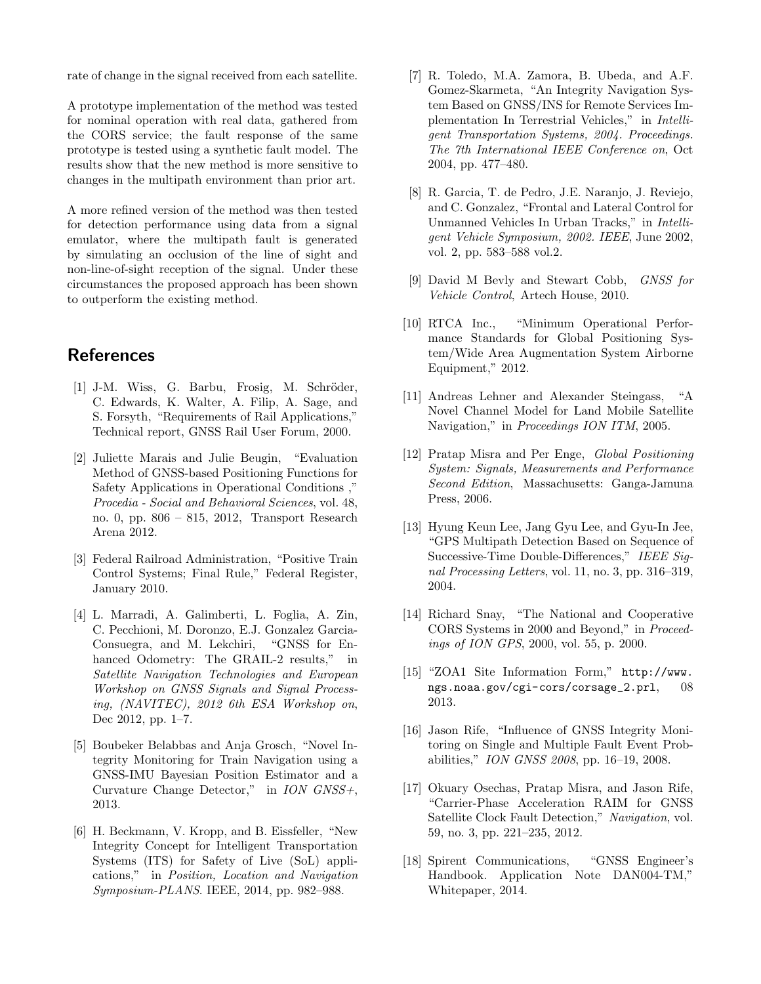rate of change in the signal received from each satellite.

A prototype implementation of the method was tested for nominal operation with real data, gathered from the CORS service; the fault response of the same prototype is tested using a synthetic fault model. The results show that the new method is more sensitive to changes in the multipath environment than prior art.

A more refined version of the method was then tested for detection performance using data from a signal emulator, where the multipath fault is generated by simulating an occlusion of the line of sight and non-line-of-sight reception of the signal. Under these circumstances the proposed approach has been shown to outperform the existing method.

## References

- [1] J-M. Wiss, G. Barbu, Frosig, M. Schröder, C. Edwards, K. Walter, A. Filip, A. Sage, and S. Forsyth, "Requirements of Rail Applications," Technical report, GNSS Rail User Forum, 2000.
- [2] Juliette Marais and Julie Beugin, "Evaluation Method of GNSS-based Positioning Functions for Safety Applications in Operational Conditions ," Procedia - Social and Behavioral Sciences, vol. 48, no. 0, pp. 806 – 815, 2012, Transport Research Arena 2012.
- [3] Federal Railroad Administration, "Positive Train Control Systems; Final Rule," Federal Register, January 2010.
- [4] L. Marradi, A. Galimberti, L. Foglia, A. Zin, C. Pecchioni, M. Doronzo, E.J. Gonzalez Garcia-Consuegra, and M. Lekchiri, "GNSS for Enhanced Odometry: The GRAIL-2 results," in Satellite Navigation Technologies and European Workshop on GNSS Signals and Signal Processing, (NAVITEC), 2012 6th ESA Workshop on, Dec 2012, pp. 1–7.
- [5] Boubeker Belabbas and Anja Grosch, "Novel Integrity Monitoring for Train Navigation using a GNSS-IMU Bayesian Position Estimator and a Curvature Change Detector," in ION GNSS+, 2013.
- [6] H. Beckmann, V. Kropp, and B. Eissfeller, "New Integrity Concept for Intelligent Transportation Systems (ITS) for Safety of Live (SoL) applications," in Position, Location and Navigation Symposium-PLANS. IEEE, 2014, pp. 982–988.
- [7] R. Toledo, M.A. Zamora, B. Ubeda, and A.F. Gomez-Skarmeta, "An Integrity Navigation System Based on GNSS/INS for Remote Services Implementation In Terrestrial Vehicles," in Intelligent Transportation Systems, 2004. Proceedings. The 7th International IEEE Conference on, Oct 2004, pp. 477–480.
- [8] R. Garcia, T. de Pedro, J.E. Naranjo, J. Reviejo, and C. Gonzalez, "Frontal and Lateral Control for Unmanned Vehicles In Urban Tracks," in Intelligent Vehicle Symposium, 2002. IEEE, June 2002, vol. 2, pp. 583–588 vol.2.
- [9] David M Bevly and Stewart Cobb, GNSS for Vehicle Control, Artech House, 2010.
- [10] RTCA Inc., "Minimum Operational Performance Standards for Global Positioning System/Wide Area Augmentation System Airborne Equipment," 2012.
- [11] Andreas Lehner and Alexander Steingass, "A Novel Channel Model for Land Mobile Satellite Navigation," in *Proceedings ION ITM*, 2005.
- [12] Pratap Misra and Per Enge, Global Positioning System: Signals, Measurements and Performance Second Edition, Massachusetts: Ganga-Jamuna Press, 2006.
- [13] Hyung Keun Lee, Jang Gyu Lee, and Gyu-In Jee, "GPS Multipath Detection Based on Sequence of Successive-Time Double-Differences," IEEE Signal Processing Letters, vol. 11, no. 3, pp. 316–319, 2004.
- [14] Richard Snay, "The National and Cooperative CORS Systems in 2000 and Beyond," in Proceedings of ION GPS, 2000, vol. 55, p. 2000.
- [15] "ZOA1 Site Information Form," http://www. ngs.noaa.gov/cgi-cors/corsage\_2.prl, 08 2013.
- [16] Jason Rife, "Influence of GNSS Integrity Monitoring on Single and Multiple Fault Event Probabilities," ION GNSS 2008, pp. 16–19, 2008.
- [17] Okuary Osechas, Pratap Misra, and Jason Rife, "Carrier-Phase Acceleration RAIM for GNSS Satellite Clock Fault Detection," Navigation, vol. 59, no. 3, pp. 221–235, 2012.
- [18] Spirent Communications, "GNSS Engineer's Handbook. Application Note DAN004-TM," Whitepaper, 2014.